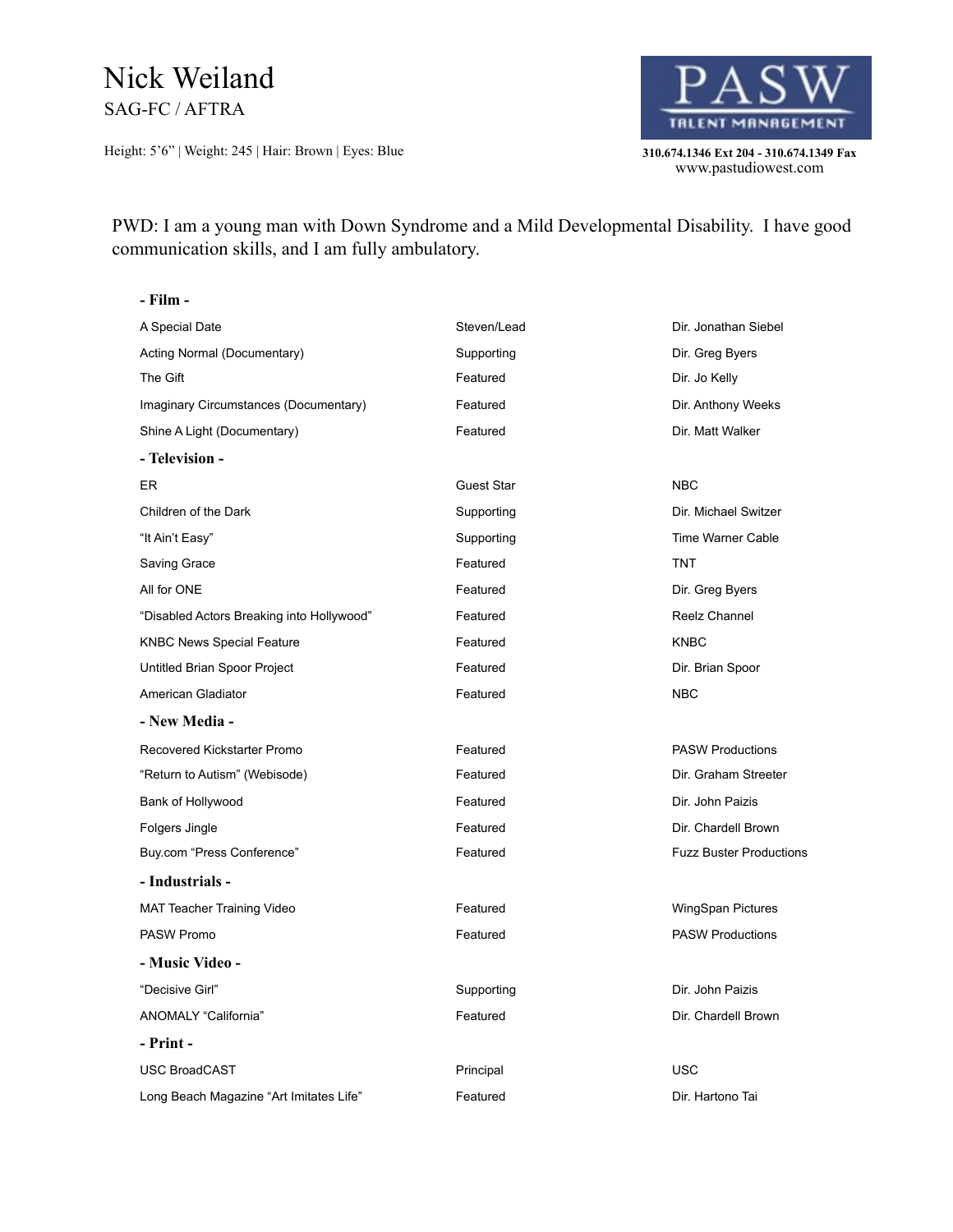## Nick Weiland SAG-FC / AFTRA

Height: 5'6" | Weight: 245 | Hair: Brown | Eyes: Blue **310.674.1346 Ext 204 - 310.674.1349 Fax** 



310.674.1346 Ext 204 - 310.674.1349 Fax<br>www.pastudiowest.com

PWD: I am a young man with Down Syndrome and a Mild Developmental Disability. I have good communication skills, and I am fully ambulatory.

| - Film -                                  |             |                                |
|-------------------------------------------|-------------|--------------------------------|
| A Special Date                            | Steven/Lead | Dir. Jonathan Siebel           |
| Acting Normal (Documentary)               | Supporting  | Dir. Greg Byers                |
| The Gift                                  | Featured    | Dir. Jo Kelly                  |
| Imaginary Circumstances (Documentary)     | Featured    | Dir. Anthony Weeks             |
| Shine A Light (Documentary)               | Featured    | Dir. Matt Walker               |
| - Television -                            |             |                                |
| ER.                                       | Guest Star  | <b>NBC</b>                     |
| Children of the Dark                      | Supporting  | Dir. Michael Switzer           |
| "It Ain't Easy"                           | Supporting  | Time Warner Cable              |
| Saving Grace                              | Featured    | <b>TNT</b>                     |
| All for ONE                               | Featured    | Dir. Greg Byers                |
| "Disabled Actors Breaking into Hollywood" | Featured    | Reelz Channel                  |
| <b>KNBC News Special Feature</b>          | Featured    | <b>KNBC</b>                    |
| Untitled Brian Spoor Project              | Featured    | Dir. Brian Spoor               |
| American Gladiator                        | Featured    | <b>NBC</b>                     |
| - New Media -                             |             |                                |
| Recovered Kickstarter Promo               | Featured    | <b>PASW Productions</b>        |
| "Return to Autism" (Webisode)             | Featured    | Dir. Graham Streeter           |
| Bank of Hollywood                         | Featured    | Dir. John Paizis               |
| Folgers Jingle                            | Featured    | Dir. Chardell Brown            |
| Buy.com "Press Conference"                | Featured    | <b>Fuzz Buster Productions</b> |
| - Industrials -                           |             |                                |
| <b>MAT Teacher Training Video</b>         | Featured    | WingSpan Pictures              |
| <b>PASW Promo</b>                         | Featured    | <b>PASW Productions</b>        |
| - Music Video -                           |             |                                |
| "Decisive Girl"                           | Supporting  | Dir. John Paizis               |
| ANOMALY "California"                      | Featured    | Dir. Chardell Brown            |
| - Print -                                 |             |                                |
| <b>USC BroadCAST</b>                      | Principal   | <b>USC</b>                     |
| Long Beach Magazine "Art Imitates Life"   | Featured    | Dir. Hartono Tai               |